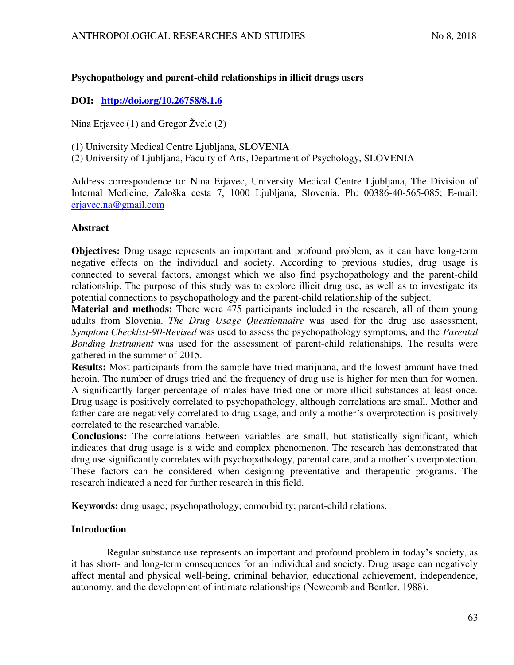# **Psychopathology and parent-child relationships in illicit drugs users**

# **DOI: <http://doi.org/10.26758/8.1.6>**

Nina Erjavec (1) and Gregor Žvelc (2)

(1) University Medical Centre Ljubljana, SLOVENIA

(2) University of Ljubljana, Faculty of Arts, Department of Psychology, SLOVENIA

Address correspondence to: Nina Erjavec, University Medical Centre Ljubljana, The Division of Internal Medicine, Zaloška cesta 7, 1000 Ljubljana, Slovenia. Ph: 00386-40-565-085; E-mail: [erjavec.na@gmail.com](mailto:erjavec.na@gmail.com)

## **Abstract**

**Objectives:** Drug usage represents an important and profound problem, as it can have long-term negative effects on the individual and society. According to previous studies, drug usage is connected to several factors, amongst which we also find psychopathology and the parent-child relationship. The purpose of this study was to explore illicit drug use, as well as to investigate its potential connections to psychopathology and the parent-child relationship of the subject.

**Material and methods:** There were 475 participants included in the research, all of them young adults from Slovenia. *The Drug Usage Questionnaire* was used for the drug use assessment, *Symptom Checklist-90-Revised* was used to assess the psychopathology symptoms, and the *Parental Bonding Instrument* was used for the assessment of parent-child relationships. The results were gathered in the summer of 2015.

**Results:** Most participants from the sample have tried marijuana, and the lowest amount have tried heroin. The number of drugs tried and the frequency of drug use is higher for men than for women. A significantly larger percentage of males have tried one or more illicit substances at least once. Drug usage is positively correlated to psychopathology, although correlations are small. Mother and father care are negatively correlated to drug usage, and only a mother's overprotection is positively correlated to the researched variable.

**Conclusions:** The correlations between variables are small, but statistically significant, which indicates that drug usage is a wide and complex phenomenon. The research has demonstrated that drug use significantly correlates with psychopathology, parental care, and a mother's overprotection. These factors can be considered when designing preventative and therapeutic programs. The research indicated a need for further research in this field.

**Keywords:** drug usage; psychopathology; comorbidity; parent-child relations.

# **Introduction**

Regular substance use represents an important and profound problem in today's society, as it has short- and long-term consequences for an individual and society. Drug usage can negatively affect mental and physical well-being, criminal behavior, educational achievement, independence, autonomy, and the development of intimate relationships (Newcomb and Bentler, 1988).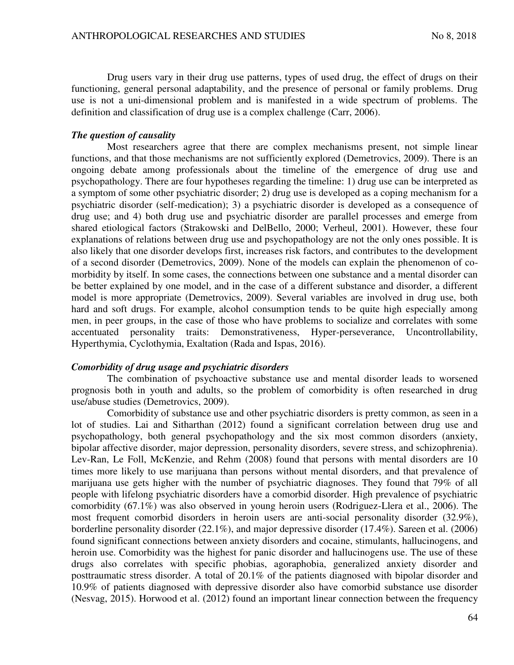Drug users vary in their drug use patterns, types of used drug, the effect of drugs on their functioning, general personal adaptability, and the presence of personal or family problems. Drug use is not a uni-dimensional problem and is manifested in a wide spectrum of problems. The definition and classification of drug use is a complex challenge (Carr, 2006).

## *The question of causality*

Most researchers agree that there are complex mechanisms present, not simple linear functions, and that those mechanisms are not sufficiently explored (Demetrovics, 2009). There is an ongoing debate among professionals about the timeline of the emergence of drug use and psychopathology. There are four hypotheses regarding the timeline: 1) drug use can be interpreted as a symptom of some other psychiatric disorder; 2) drug use is developed as a coping mechanism for a psychiatric disorder (self-medication); 3) a psychiatric disorder is developed as a consequence of drug use; and 4) both drug use and psychiatric disorder are parallel processes and emerge from shared etiological factors (Strakowski and DelBello, 2000; Verheul, 2001). However, these four explanations of relations between drug use and psychopathology are not the only ones possible. It is also likely that one disorder develops first, increases risk factors, and contributes to the development of a second disorder (Demetrovics, 2009). None of the models can explain the phenomenon of comorbidity by itself. In some cases, the connections between one substance and a mental disorder can be better explained by one model, and in the case of a different substance and disorder, a different model is more appropriate (Demetrovics, 2009). Several variables are involved in drug use, both hard and soft drugs. For example, alcohol consumption tends to be quite high especially among men, in peer groups, in the case of those who have problems to socialize and correlates with some accentuated personality traits: Demonstrativeness, Hyper-perseverance, Uncontrollability, Hyperthymia, Cyclothymia, Exaltation (Rada and Ispas, 2016).

## *Comorbidity of drug usage and psychiatric disorders*

The combination of psychoactive substance use and mental disorder leads to worsened prognosis both in youth and adults, so the problem of comorbidity is often researched in drug use/abuse studies (Demetrovics, 2009).

Comorbidity of substance use and other psychiatric disorders is pretty common, as seen in a lot of studies. Lai and Sitharthan (2012) found a significant correlation between drug use and psychopathology, both general psychopathology and the six most common disorders (anxiety, bipolar affective disorder, major depression, personality disorders, severe stress, and schizophrenia). Lev-Ran, Le Foll, McKenzie, and Rehm (2008) found that persons with mental disorders are 10 times more likely to use marijuana than persons without mental disorders, and that prevalence of marijuana use gets higher with the number of psychiatric diagnoses. They found that 79% of all people with lifelong psychiatric disorders have a comorbid disorder. High prevalence of psychiatric comorbidity (67.1%) was also observed in young heroin users (Rodriguez-Llera et al., 2006). The most frequent comorbid disorders in heroin users are anti-social personality disorder (32.9%), borderline personality disorder (22.1%), and major depressive disorder (17.4%). Sareen et al. (2006) found significant connections between anxiety disorders and cocaine, stimulants, hallucinogens, and heroin use. Comorbidity was the highest for panic disorder and hallucinogens use. The use of these drugs also correlates with specific phobias, agoraphobia, generalized anxiety disorder and posttraumatic stress disorder. A total of 20.1% of the patients diagnosed with bipolar disorder and 10.9% of patients diagnosed with depressive disorder also have comorbid substance use disorder (Nesvag, 2015). Horwood et al. (2012) found an important linear connection between the frequency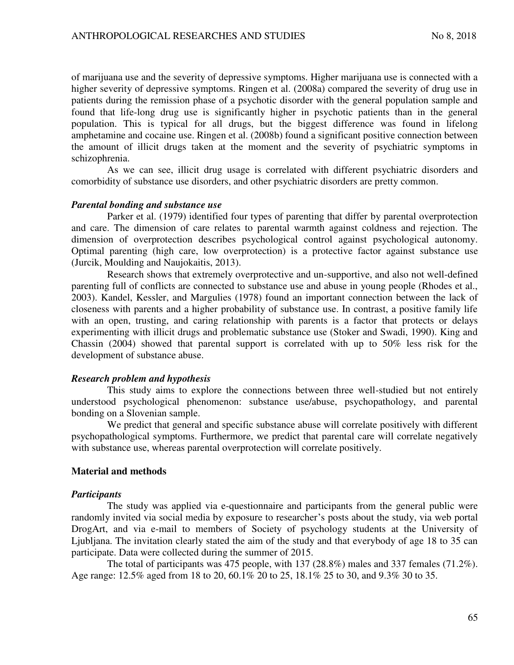of marijuana use and the severity of depressive symptoms. Higher marijuana use is connected with a higher severity of depressive symptoms. Ringen et al. (2008a) compared the severity of drug use in patients during the remission phase of a psychotic disorder with the general population sample and found that life-long drug use is significantly higher in psychotic patients than in the general population. This is typical for all drugs, but the biggest difference was found in lifelong amphetamine and cocaine use. Ringen et al. (2008b) found a significant positive connection between the amount of illicit drugs taken at the moment and the severity of psychiatric symptoms in schizophrenia.

As we can see, illicit drug usage is correlated with different psychiatric disorders and comorbidity of substance use disorders, and other psychiatric disorders are pretty common.

## *Parental bonding and substance use*

Parker et al. (1979) identified four types of parenting that differ by parental overprotection and care. The dimension of care relates to parental warmth against coldness and rejection. The dimension of overprotection describes psychological control against psychological autonomy. Optimal parenting (high care, low overprotection) is a protective factor against substance use (Jurcik, Moulding and Naujokaitis, 2013).

Research shows that extremely overprotective and un-supportive, and also not well-defined parenting full of conflicts are connected to substance use and abuse in young people (Rhodes et al., 2003). Kandel, Kessler, and Margulies (1978) found an important connection between the lack of closeness with parents and a higher probability of substance use. In contrast, a positive family life with an open, trusting, and caring relationship with parents is a factor that protects or delays experimenting with illicit drugs and problematic substance use (Stoker and Swadi, 1990). King and Chassin (2004) showed that parental support is correlated with up to 50% less risk for the development of substance abuse.

## *Research problem and hypothesis*

This study aims to explore the connections between three well-studied but not entirely understood psychological phenomenon: substance use/abuse, psychopathology, and parental bonding on a Slovenian sample.

We predict that general and specific substance abuse will correlate positively with different psychopathological symptoms. Furthermore, we predict that parental care will correlate negatively with substance use, whereas parental overprotection will correlate positively.

## **Material and methods**

#### *Participants*

The study was applied via e-questionnaire and participants from the general public were randomly invited via social media by exposure to researcher's posts about the study, via web portal DrogArt, and via e-mail to members of Society of psychology students at the University of Ljubljana. The invitation clearly stated the aim of the study and that everybody of age 18 to 35 can participate. Data were collected during the summer of 2015.

The total of participants was 475 people, with 137 (28.8%) males and 337 females (71.2%). Age range: 12.5% aged from 18 to 20, 60.1% 20 to 25, 18.1% 25 to 30, and 9.3% 30 to 35.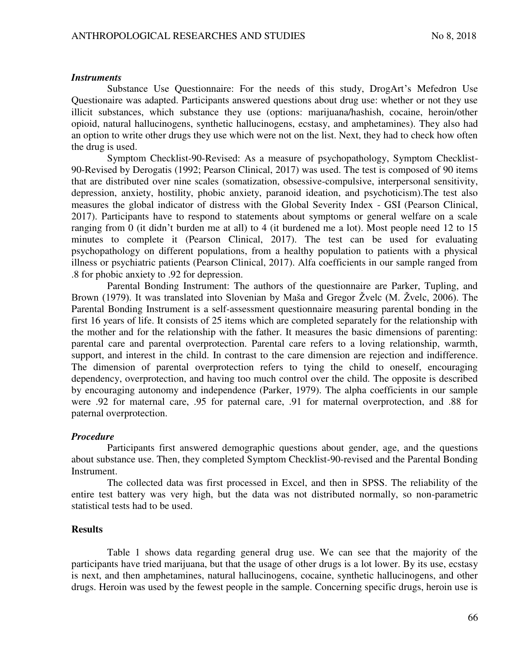#### *Instruments*

Substance Use Questionnaire: For the needs of this study, DrogArt's Mefedron Use Questionaire was adapted. Participants answered questions about drug use: whether or not they use illicit substances, which substance they use (options: marijuana/hashish, cocaine, heroin/other opioid, natural hallucinogens, synthetic hallucinogens, ecstasy, and amphetamines). They also had an option to write other drugs they use which were not on the list. Next, they had to check how often the drug is used.

Symptom Checklist-90-Revised: As a measure of psychopathology, Symptom Checklist-90-Revised by Derogatis (1992; Pearson Clinical, 2017) was used. The test is composed of 90 items that are distributed over nine scales (somatization, obsessive-compulsive, interpersonal sensitivity, depression, anxiety, hostility, phobic anxiety, paranoid ideation, and psychoticism).The test also measures the global indicator of distress with the Global Severity Index - GSI (Pearson Clinical, 2017). Participants have to respond to statements about symptoms or general welfare on a scale ranging from 0 (it didn't burden me at all) to 4 (it burdened me a lot). Most people need 12 to 15 minutes to complete it (Pearson Clinical, 2017). The test can be used for evaluating psychopathology on different populations, from a healthy population to patients with a physical illness or psychiatric patients (Pearson Clinical, 2017). Alfa coefficients in our sample ranged from .8 for phobic anxiety to .92 for depression.

Parental Bonding Instrument: The authors of the questionnaire are Parker, Tupling, and Brown (1979). It was translated into Slovenian by Maša and Gregor Žvelc (M. Žvelc, 2006). The Parental Bonding Instrument is a self-assessment questionnaire measuring parental bonding in the first 16 years of life. It consists of 25 items which are completed separately for the relationship with the mother and for the relationship with the father. It measures the basic dimensions of parenting: parental care and parental overprotection. Parental care refers to a loving relationship, warmth, support, and interest in the child. In contrast to the care dimension are rejection and indifference. The dimension of parental overprotection refers to tying the child to oneself, encouraging dependency, overprotection, and having too much control over the child. The opposite is described by encouraging autonomy and independence (Parker, 1979). The alpha coefficients in our sample were .92 for maternal care, .95 for paternal care, .91 for maternal overprotection, and .88 for paternal overprotection.

## *Procedure*

Participants first answered demographic questions about gender, age, and the questions about substance use. Then, they completed Symptom Checklist-90-revised and the Parental Bonding Instrument.

The collected data was first processed in Excel, and then in SPSS. The reliability of the entire test battery was very high, but the data was not distributed normally, so non-parametric statistical tests had to be used.

#### **Results**

Table 1 shows data regarding general drug use. We can see that the majority of the participants have tried marijuana, but that the usage of other drugs is a lot lower. By its use, ecstasy is next, and then amphetamines, natural hallucinogens, cocaine, synthetic hallucinogens, and other drugs. Heroin was used by the fewest people in the sample. Concerning specific drugs, heroin use is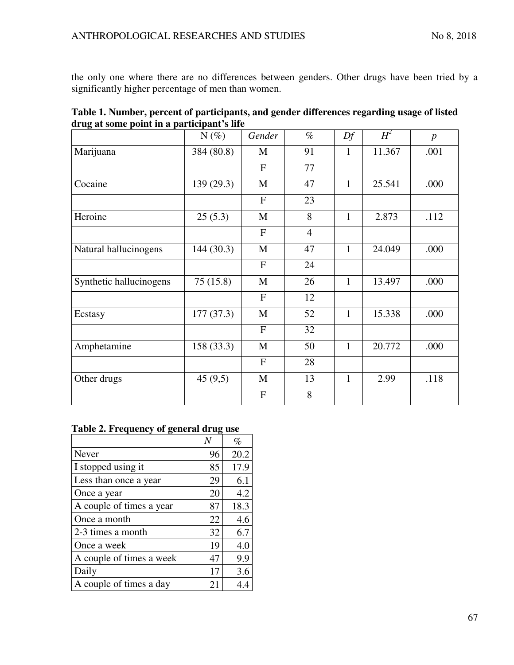the only one where there are no differences between genders. Other drugs have been tried by a significantly higher percentage of men than women.

|                                            | Table 1. Number, percent of participants, and gender differences regarding usage of listed |
|--------------------------------------------|--------------------------------------------------------------------------------------------|
| drug at some point in a participant's life |                                                                                            |

|                         | $N(\%)$    | Gender         | $\%$           | Df           | $H^2$  | $\boldsymbol{p}$ |
|-------------------------|------------|----------------|----------------|--------------|--------|------------------|
| Marijuana               | 384 (80.8) | M              | 91             | $\mathbf{1}$ | 11.367 | .001             |
|                         |            | F              | 77             |              |        |                  |
| Cocaine                 | 139 (29.3) | M              | 47             | $\mathbf{1}$ | 25.541 | .000             |
|                         |            | $\overline{F}$ | 23             |              |        |                  |
| Heroine                 | 25(5.3)    | M              | 8              | $\mathbf{1}$ | 2.873  | .112             |
|                         |            | $\overline{F}$ | $\overline{4}$ |              |        |                  |
| Natural hallucinogens   | 144 (30.3) | M              | 47             | $\mathbf{1}$ | 24.049 | .000             |
|                         |            | $\mathbf{F}$   | 24             |              |        |                  |
| Synthetic hallucinogens | 75(15.8)   | $\mathbf M$    | 26             | $\mathbf{1}$ | 13.497 | .000             |
|                         |            | $\mathbf F$    | 12             |              |        |                  |
| Ecstasy                 | 177(37.3)  | $\mathbf{M}$   | 52             | $\mathbf{1}$ | 15.338 | .000             |
|                         |            | $\mathbf F$    | 32             |              |        |                  |
| Amphetamine             | 158 (33.3) | M              | 50             | $\mathbf{1}$ | 20.772 | .000             |
|                         |            | $\mathbf F$    | 28             |              |        |                  |
| Other drugs             | 45(9,5)    | M              | 13             | $\mathbf{1}$ | 2.99   | .118             |
|                         |            | ${\bf F}$      | 8              |              |        |                  |

## **Table 2. Frequency of general drug use**

|                          |    | $\%$ |
|--------------------------|----|------|
| Never                    | 96 | 20.2 |
| I stopped using it       | 85 | 17.9 |
| Less than once a year    | 29 | 6.1  |
| Once a year              | 20 | 4.2  |
| A couple of times a year | 87 | 18.3 |
| Once a month             | 22 | 4.6  |
| 2-3 times a month        | 32 | 6.7  |
| Once a week              | 19 | 4.0  |
| A couple of times a week | 47 | 9.9  |
| Daily                    | 17 | 3.6  |
| A couple of times a day  | 21 | 4.4  |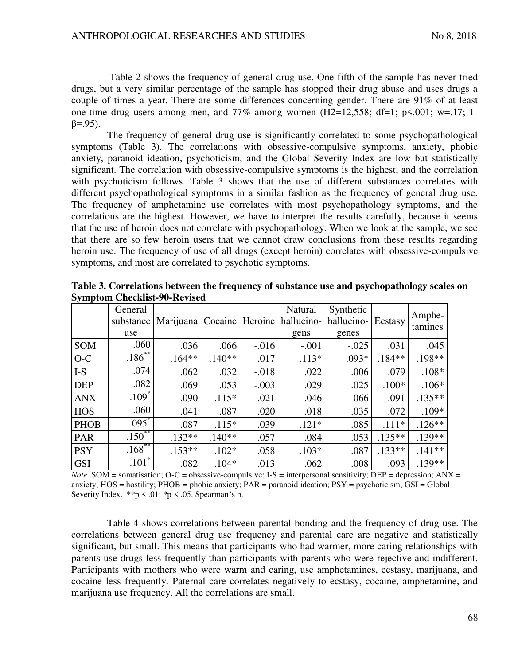Table 2 shows the frequency of general drug use. One-fifth of the sample has never tried drugs, but a very similar percentage of the sample has stopped their drug abuse and uses drugs a couple of times a year. There are some differences concerning gender. There are 91% of at least one-time drug users among men, and  $77\%$  among women (H2=12,558; df=1; p<.001; w=.17; 1 $β = .95$ ).

The frequency of general drug use is significantly correlated to some psychopathological symptoms (Table 3). The correlations with obsessive-compulsive symptoms, anxiety, phobic anxiety, paranoid ideation, psychoticism, and the Global Severity Index are low but statistically significant. The correlation with obsessive-compulsive symptoms is the highest, and the correlation with psychoticism follows. Table 3 shows that the use of different substances correlates with different psychopathological symptoms in a similar fashion as the frequency of general drug use. The frequency of amphetamine use correlates with most psychopathology symptoms, and the correlations are the highest. However, we have to interpret the results carefully, because it seems that the use of heroin does not correlate with psychopathology. When we look at the sample, we see that there are so few heroin users that we cannot draw conclusions from these results regarding heroin use. The frequency of use of all drugs (except heroin) correlates with obsessive-compulsive symptoms, and most are correlated to psychotic symptoms.

|             | General<br>substance<br>use |          |          |          | Natural<br>Marijuana   Cocaine   Heroine   hallucino-<br>gens | Synthetic<br>hallucino-<br>genes | Ecstasy   | Amphe-<br>tamines |
|-------------|-----------------------------|----------|----------|----------|---------------------------------------------------------------|----------------------------------|-----------|-------------------|
| SOM         | .060                        | .036     | .066     | $-0.016$ | $-.001$                                                       | $-.025$                          | .031      | .045              |
| $O-C$       | $.186***$                   | $.164**$ | $.140**$ | .017     | $.113*$                                                       | $.093*$                          | $.184**$  | .198**            |
| $I-S$       | .074                        | .062     | .032     | $-.018$  | .022                                                          | .006                             | .079      | $.108*$           |
| <b>DEP</b>  | .082                        | .069     | .053     | $-.003$  | .029                                                          | .025                             | $.100*$   | $.106*$           |
| <b>ANX</b>  | $.109*$                     | .090     | $.115*$  | .021     | .046                                                          | 066                              | .091      | $.135***$         |
| <b>HOS</b>  | .060                        | .041     | .087     | .020     | .018                                                          | .035                             | .072      | $.109*$           |
| <b>PHOB</b> | $.095^*$                    | .087     | $.115*$  | .039     | $.121*$                                                       | .085                             | $.111*$   | $.126**$          |
| <b>PAR</b>  | $.150^{***}$                | $.132**$ | $.140**$ | .057     | .084                                                          | .053                             | $.135***$ | $.139**$          |
| <b>PSY</b>  | $.168$ <sup>**</sup>        | $.153**$ | $.102*$  | .058     | $.103*$                                                       | .087                             | $.133**$  | $.141**$          |
| <b>GSI</b>  | $.101*$                     | .082     | $.104*$  | .013     | .062                                                          | .008                             | .093      | $.139**$          |

**Table 3. Correlations between the frequency of substance use and psychopathology scales on Symptom Checklist-90-Revised** 

*Note.* SOM = somatisation;  $O-C =$  obsessive-compulsive;  $I-S =$  interpersonal sensitivity;  $DEP =$  depression;  $ANX =$ anxiety; HOS = hostility; PHOB = phobic anxiety; PAR = paranoid ideation; PSY = psychoticism; GSI = Global Severity Index.  $*p < .01$ ;  $*p < .05$ . Spearman's ρ.

Table 4 shows correlations between parental bonding and the frequency of drug use. The correlations between general drug use frequency and parental care are negative and statistically significant, but small. This means that participants who had warmer, more caring relationships with parents use drugs less frequently than participants with parents who were rejective and indifferent. Participants with mothers who were warm and caring, use amphetamines, ecstasy, marijuana, and cocaine less frequently. Paternal care correlates negatively to ecstasy, cocaine, amphetamine, and marijuana use frequency. All the correlations are small.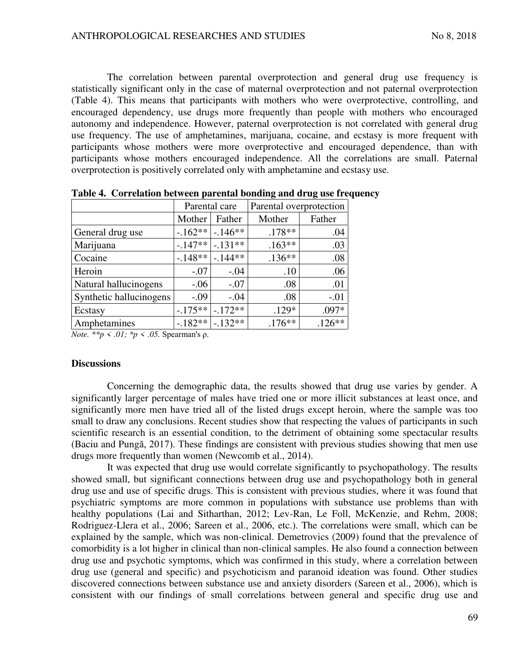The correlation between parental overprotection and general drug use frequency is statistically significant only in the case of maternal overprotection and not paternal overprotection (Table 4). This means that participants with mothers who were overprotective, controlling, and encouraged dependency, use drugs more frequently than people with mothers who encouraged autonomy and independence. However, paternal overprotection is not correlated with general drug use frequency. The use of amphetamines, marijuana, cocaine, and ecstasy is more frequent with participants whose mothers were more overprotective and encouraged dependence, than with participants whose mothers encouraged independence. All the correlations are small. Paternal overprotection is positively correlated only with amphetamine and ecstasy use.

|                         |           | Parental care | Parental overprotection |          |  |
|-------------------------|-----------|---------------|-------------------------|----------|--|
|                         | Mother    | Father        | Mother                  | Father   |  |
| General drug use        | $-.162**$ | $-.146**$     | $.178**$                | .04      |  |
| Marijuana               | $-.147**$ | $-.131**$     | $.163**$                | .03      |  |
| Cocaine                 | $-148**$  | $-144**$      | $.136**$                | .08      |  |
| Heroin                  | $-.07$    | $-.04$        | .10                     | .06      |  |
| Natural hallucinogens   | $-0.06$   | $-.07$        | .08                     | .01      |  |
| Synthetic hallucinogens | $-.09$    | $-.04$        | .08                     | $-.01$   |  |
| Ecstasy                 | $-175**$  | $-.172**$     | $.129*$                 | $.097*$  |  |
| Amphetamines            | $-182**$  | $-.132**$     | $.176**$                | $.126**$ |  |

**Table 4. Correlation between parental bonding and drug use frequency** 

*Note. \*\*p < .01; \*p < .05.* Spearman's ρ.

## **Discussions**

Concerning the demographic data, the results showed that drug use varies by gender. A significantly larger percentage of males have tried one or more illicit substances at least once, and significantly more men have tried all of the listed drugs except heroin, where the sample was too small to draw any conclusions. Recent studies show that respecting the values of participants in such scientific research is an essential condition, to the detriment of obtaining some spectacular results (Baciu and Pungă, 2017). These findings are consistent with previous studies showing that men use drugs more frequently than women (Newcomb et al., 2014).

It was expected that drug use would correlate significantly to psychopathology. The results showed small, but significant connections between drug use and psychopathology both in general drug use and use of specific drugs. This is consistent with previous studies, where it was found that psychiatric symptoms are more common in populations with substance use problems than with healthy populations (Lai and Sitharthan, 2012; Lev-Ran, Le Foll, McKenzie, and Rehm, 2008; Rodriguez-Llera et al., 2006; Sareen et al., 2006, etc.). The correlations were small, which can be explained by the sample, which was non-clinical. Demetrovics (2009) found that the prevalence of comorbidity is a lot higher in clinical than non-clinical samples. He also found a connection between drug use and psychotic symptoms, which was confirmed in this study, where a correlation between drug use (general and specific) and psychoticism and paranoid ideation was found. Other studies discovered connections between substance use and anxiety disorders (Sareen et al., 2006), which is consistent with our findings of small correlations between general and specific drug use and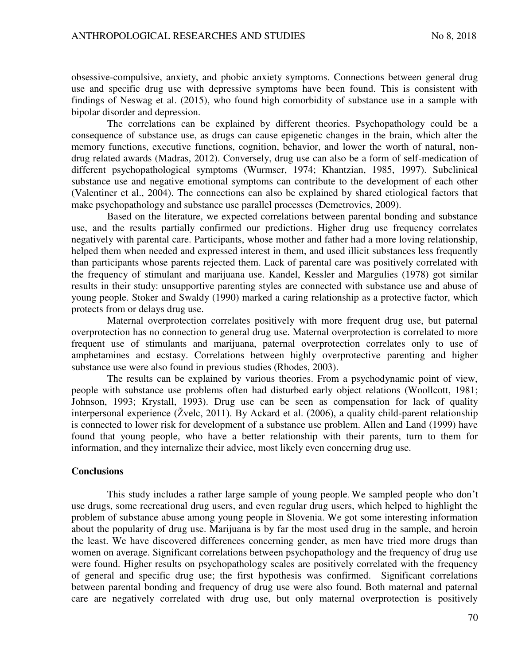obsessive-compulsive, anxiety, and phobic anxiety symptoms. Connections between general drug use and specific drug use with depressive symptoms have been found. This is consistent with findings of Neswag et al. (2015), who found high comorbidity of substance use in a sample with bipolar disorder and depression.

The correlations can be explained by different theories. Psychopathology could be a consequence of substance use, as drugs can cause epigenetic changes in the brain, which alter the memory functions, executive functions, cognition, behavior, and lower the worth of natural, nondrug related awards (Madras, 2012). Conversely, drug use can also be a form of self-medication of different psychopathological symptoms (Wurmser, 1974; Khantzian, 1985, 1997). Subclinical substance use and negative emotional symptoms can contribute to the development of each other (Valentiner et al., 2004). The connections can also be explained by shared etiological factors that make psychopathology and substance use parallel processes (Demetrovics, 2009).

Based on the literature, we expected correlations between parental bonding and substance use, and the results partially confirmed our predictions. Higher drug use frequency correlates negatively with parental care. Participants, whose mother and father had a more loving relationship, helped them when needed and expressed interest in them, and used illicit substances less frequently than participants whose parents rejected them. Lack of parental care was positively correlated with the frequency of stimulant and marijuana use. Kandel, Kessler and Margulies (1978) got similar results in their study: unsupportive parenting styles are connected with substance use and abuse of young people. Stoker and Swaldy (1990) marked a caring relationship as a protective factor, which protects from or delays drug use.

Maternal overprotection correlates positively with more frequent drug use, but paternal overprotection has no connection to general drug use. Maternal overprotection is correlated to more frequent use of stimulants and marijuana, paternal overprotection correlates only to use of amphetamines and ecstasy. Correlations between highly overprotective parenting and higher substance use were also found in previous studies (Rhodes, 2003).

The results can be explained by various theories. From a psychodynamic point of view, people with substance use problems often had disturbed early object relations (Woollcott, 1981; Johnson, 1993; Krystall, 1993). Drug use can be seen as compensation for lack of quality interpersonal experience (Žvelc, 2011). By Ackard et al. (2006), a quality child-parent relationship is connected to lower risk for development of a substance use problem. Allen and Land (1999) have found that young people, who have a better relationship with their parents, turn to them for information, and they internalize their advice, most likely even concerning drug use.

## **Conclusions**

This study includes a rather large sample of young people. We sampled people who don't use drugs, some recreational drug users, and even regular drug users, which helped to highlight the problem of substance abuse among young people in Slovenia. We got some interesting information about the popularity of drug use. Marijuana is by far the most used drug in the sample, and heroin the least. We have discovered differences concerning gender, as men have tried more drugs than women on average. Significant correlations between psychopathology and the frequency of drug use were found. Higher results on psychopathology scales are positively correlated with the frequency of general and specific drug use; the first hypothesis was confirmed. Significant correlations between parental bonding and frequency of drug use were also found. Both maternal and paternal care are negatively correlated with drug use, but only maternal overprotection is positively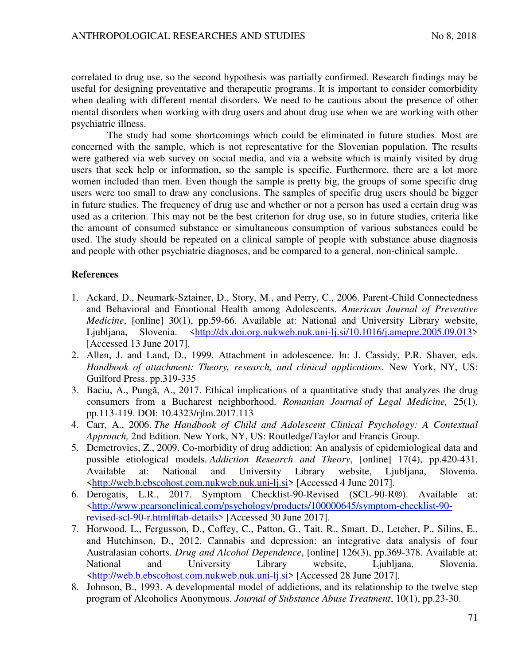correlated to drug use, so the second hypothesis was partially confirmed. Research findings may be useful for designing preventative and therapeutic programs. It is important to consider comorbidity when dealing with different mental disorders. We need to be cautious about the presence of other mental disorders when working with drug users and about drug use when we are working with other psychiatric illness.

The study had some shortcomings which could be eliminated in future studies. Most are concerned with the sample, which is not representative for the Slovenian population. The results were gathered via web survey on social media, and via a website which is mainly visited by drug users that seek help or information, so the sample is specific. Furthermore, there are a lot more women included than men. Even though the sample is pretty big, the groups of some specific drug users were too small to draw any conclusions. The samples of specific drug users should be bigger in future studies. The frequency of drug use and whether or not a person has used a certain drug was used as a criterion. This may not be the best criterion for drug use, so in future studies, criteria like the amount of consumed substance or simultaneous consumption of various substances could be used. The study should be repeated on a clinical sample of people with substance abuse diagnosis and people with other psychiatric diagnoses, and be compared to a general, non-clinical sample.

## **References**

- 1. Ackard, D., Neumark-Sztainer, D., Story, M., and Perry, C., 2006. Parent-Child Connectedness and Behavioral and Emotional Health among Adolescents. *American Journal of Preventive Medicine*, [online] 30(1), pp.59-66. Available at: National and University Library website, Ljubljana, Slovenia. [<http://dx.doi.org.nukweb.nuk.uni-lj.si/10.1016/j.amepre.2005.09.013>](http://dx.doi.org.nukweb.nuk.uni-lj.si/10.1016/j.amepre.2005.09.013) [Accessed 13 June 2017].
- 2. Allen, J. and Land, D., 1999. Attachment in adolescence. In: J. Cassidy, P.R. Shaver, eds. *Handbook of attachment: Theory, research, and clinical applications*. New York, NY, US: Guilford Press. pp.319-335
- 3. Baciu, A., Pungă, A., 2017. Ethical implications of a quantitative study that analyzes the drug consumers from a Bucharest neighborhood*. Romanian Journal of Legal Medicine,* 25(1), pp.113-119. DOI: 10.4323/rjlm.2017.113
- 4. Carr, A., 2006. *The Handbook of Child and Adolescent Clinical Psychology: A Contextual Approach,* 2nd Edition. New York, NY, US: Routledge/Taylor and Francis Group.
- 5. Demetrovics, Z., 2009. Co-morbidity of drug addiction: An analysis of epidemiological data and possible etiological models. *Addiction Research and Theory*, [online] 17(4), pp.420-431. Available at: National and University Library website, Ljubljana, Slovenia. [<http://web.b.ebscohost.com.nukweb.nuk.uni-lj.si>](http://web.b.ebscohost.com.nukweb.nuk.uni-lj.si/) [Accessed 4 June 2017].
- 6. Derogatis, L.R., 2017. Symptom Checklist-90-Revised (SCL-90-R®). Available at: [<http://www.pearsonclinical.com/psychology/products/100000645/symptom-checklist-90](http://www.pearsonclinical.com/psychology/products/100000645/symptom-checklist-90-revised-scl-90-r.html) [revised-scl-90-r.html#tab-details>](http://www.pearsonclinical.com/psychology/products/100000645/symptom-checklist-90-revised-scl-90-r.html) [Accessed 30 June 2017].
- 7. Horwood, L., Fergusson, D., Coffey, C., Patton, G., Tait, R., Smart, D., Letcher, P., Silins, E., and Hutchinson, D., 2012. Cannabis and depression: an integrative data analysis of four Australasian cohorts. *Drug and Alcohol Dependence*, [online] 126(3), pp.369-378. Available at: National and University Library website, Ljubljana, Slovenia. [<http://web.b.ebscohost.com.nukweb.nuk.uni-lj.si>](http://web.b.ebscohost.com.nukweb.nuk.uni-lj.si/) [Accessed 28 June 2017].
- 8. Johnson, B., 1993. A developmental model of addictions, and its relationship to the twelve step program of Alcoholics Anonymous. *Journal of Substance Abuse Treatment*, 10(1), pp.23-30.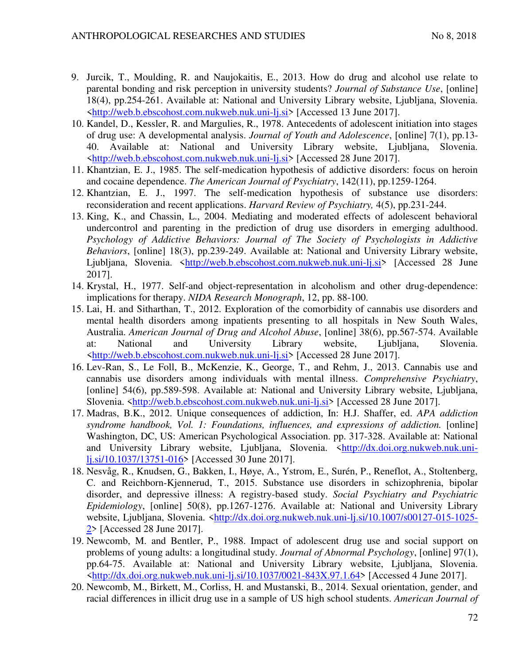- 9. Jurcik, T., Moulding, R. and Naujokaitis, E., 2013. How do drug and alcohol use relate to parental bonding and risk perception in university students? *Journal of Substance Use*, [online] 18(4), pp.254-261. Available at: National and University Library website, Ljubljana, Slovenia. [<http://web.b.ebscohost.com.nukweb.nuk.uni-lj.si>](http://web.b.ebscohost.com.nukweb.nuk.uni-lj.si/) [Accessed 13 June 2017].
- 10. Kandel, D., Kessler, R. and Margulies, R., 1978. Antecedents of adolescent initiation into stages of drug use: A developmental analysis. *Journal of Youth and Adolescence*, [online] 7(1), pp.13- 40. Available at: National and University Library website, Ljubljana, Slovenia. [<http://web.b.ebscohost.com.nukweb.nuk.uni-lj.si>](http://web.b.ebscohost.com.nukweb.nuk.uni-lj.si/) [Accessed 28 June 2017].
- 11. Khantzian, E. J., 1985. The self-medication hypothesis of addictive disorders: focus on heroin and cocaine dependence. *The American Journal of Psychiatry*, 142(11), pp.1259-1264.
- 12. Khantzian, E. J., 1997. The self-medication hypothesis of substance use disorders: reconsideration and recent applications. *Harvard Review of Psychiatry,* 4(5), pp.231-244.
- 13. King, K., and Chassin, L., 2004. Mediating and moderated effects of adolescent behavioral undercontrol and parenting in the prediction of drug use disorders in emerging adulthood. *Psychology of Addictive Behaviors: Journal of The Society of Psychologists in Addictive Behaviors*, [online] 18(3), pp.239-249. Available at: National and University Library website, Ljubljana, Slovenia. [<http://web.b.ebscohost.com.nukweb.nuk.uni-lj.si>](http://web.b.ebscohost.com.nukweb.nuk.uni-lj.si/) [Accessed 28 June 2017].
- 14. Krystal, H., 1977. Self-and object-representation in alcoholism and other drug-dependence: implications for therapy. *NIDA Research Monograph*, 12, pp. 88-100.
- 15. Lai, H. and Sitharthan, T., 2012. Exploration of the comorbidity of cannabis use disorders and mental health disorders among inpatients presenting to all hospitals in New South Wales, Australia. *American Journal of Drug and Alcohol Abuse*, [online] 38(6), pp.567-574. Available at: National and University Library website, Ljubljana, Slovenia. [<http://web.b.ebscohost.com.nukweb.nuk.uni-lj.si>](http://web.b.ebscohost.com.nukweb.nuk.uni-lj.si/) [Accessed 28 June 2017].
- 16. Lev-Ran, S., Le Foll, B., McKenzie, K., George, T., and Rehm, J., 2013. Cannabis use and cannabis use disorders among individuals with mental illness. *Comprehensive Psychiatry*, [online] 54(6), pp.589-598. Available at: National and University Library website, Ljubljana, Slovenia. [<http://web.b.ebscohost.com.nukweb.nuk.uni-lj.si>](http://web.b.ebscohost.com.nukweb.nuk.uni-lj.si/) [Accessed 28 June 2017].
- 17. Madras, B.K., 2012. Unique consequences of addiction, In: H.J. Shaffer, ed. *APA addiction syndrome handbook, Vol. 1: Foundations, influences, and expressions of addiction.* [online] Washington, DC, US: American Psychological Association. pp. 317-328. Available at: National and University Library website, Ljubljana, Slovenia. [<http://dx.doi.org.nukweb.nuk.uni](http://dx.doi.org.nukweb.nuk.uni-lj.si/10.1037/13751-016)[lj.si/10.1037/13751-016>](http://dx.doi.org.nukweb.nuk.uni-lj.si/10.1037/13751-016) [Accessed 30 June 2017].
- 18. Nesvåg, R., Knudsen, G., Bakken, I., Høye, A., Ystrom, E., Surén, P., Reneflot, A., Stoltenberg, C. and Reichborn-Kjennerud, T., 2015. Substance use disorders in schizophrenia, bipolar disorder, and depressive illness: A registry-based study. *Social Psychiatry and Psychiatric Epidemiology*, [online] 50(8), pp.1267-1276. Available at: National and University Library website, Ljubljana, Slovenia. [<http://dx.doi.org.nukweb.nuk.uni-lj.si/10.1007/s00127-015-1025-](http://dx.doi.org.nukweb.nuk.uni-lj.si/10.1007/s00127-015-1025-2) [2>](http://dx.doi.org.nukweb.nuk.uni-lj.si/10.1007/s00127-015-1025-2) [Accessed 28 June 2017].
- 19. Newcomb, M. and Bentler, P., 1988. Impact of adolescent drug use and social support on problems of young adults: a longitudinal study. *Journal of Abnormal Psychology*, [online] 97(1), pp.64-75. Available at: National and University Library website, Ljubljana, Slovenia. [<http://dx.doi.org.nukweb.nuk.uni-lj.si/10.1037/0021-843X.97.1.64>](http://dx.doi.org.nukweb.nuk.uni-lj.si/10.1037/0021-843X.97.1.64) [Accessed 4 June 2017].
- 20. Newcomb, M., Birkett, M., Corliss, H. and Mustanski, B., 2014. Sexual orientation, gender, and racial differences in illicit drug use in a sample of US high school students. *American Journal of*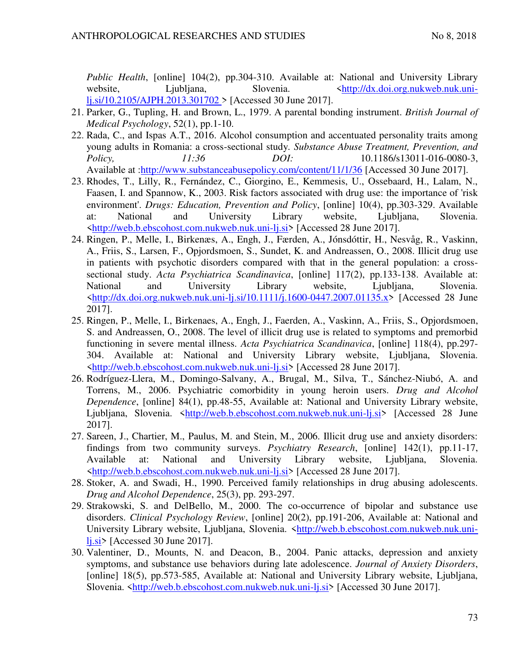*Public Health*, [online] 104(2), pp.304-310. Available at: National and University Library website, Ljubljana, Slovenia. [<http://dx.doi.org.nukweb.nuk.uni](http://dx.doi.org.nukweb.nuk.uni-lj.si/10.2105/AJPH.2013.301702�)[lj.si/10.2105/AJPH.2013.301702 >](http://dx.doi.org.nukweb.nuk.uni-lj.si/10.2105/AJPH.2013.301702�) [Accessed 30 June 2017].

- 21. Parker, G., Tupling, H. and Brown, L., 1979. A parental bonding instrument. *British Journal of Medical Psychology*, 52(1), pp.1-10.
- 22. Rada, C., and Ispas A.T., 2016. Alcohol consumption and accentuated personality traits among young adults in Romania: a cross-sectional study*. Substance Abuse Treatment, Prevention, and Policy, 11:36 DOI:* 10.1186/s13011-016-0080-3, Available at [:http://www.substanceabusepolicy.com/content/11/1/36](http://www.substanceabusepolicy.com/content/11/1/36) [Accessed 30 June 2017].
- 23. Rhodes, T., Lilly, R., Fernández, C., Giorgino, E., Kemmesis, U., Ossebaard, H., Lalam, N., Faasen, I. and Spannow, K., 2003. Risk factors associated with drug use: the importance of 'risk environment'. *Drugs: Education, Prevention and Policy*, [online] 10(4), pp.303-329. Available at: National and University Library website, Ljubljana, Slovenia. [<http://web.b.ebscohost.com.nukweb.nuk.uni-lj.si>](http://web.b.ebscohost.com.nukweb.nuk.uni-lj.si/) [Accessed 28 June 2017].
- 24. Ringen, P., Melle, I., Birkenæs, A., Engh, J., Færden, A., Jónsdóttir, H., Nesvåg, R., Vaskinn, A., Friis, S., Larsen, F., Opjordsmoen, S., Sundet, K. and Andreassen, O., 2008. Illicit drug use in patients with psychotic disorders compared with that in the general population: a crosssectional study. *Acta Psychiatrica Scandinavica*, [online] 117(2), pp.133-138. Available at: National and University Library website, Ljubljana, Slovenia.  $\frac{\text{Khttp:}}{\text{Attpt}}$ .doi.org.nukweb.nuk.uni-lj.si/10.1111/j.1600-0447.2007.01135.x> [Accessed 28 June 2017].
- 25. Ringen, P., Melle, I., Birkenaes, A., Engh, J., Faerden, A., Vaskinn, A., Friis, S., Opjordsmoen, S. and Andreassen, O., 2008. The level of illicit drug use is related to symptoms and premorbid functioning in severe mental illness. *Acta Psychiatrica Scandinavica*, [online] 118(4), pp.297- 304. Available at: National and University Library website, Ljubljana, Slovenia. [<http://web.b.ebscohost.com.nukweb.nuk.uni-lj.si>](http://web.b.ebscohost.com.nukweb.nuk.uni-lj.si/) [Accessed 28 June 2017].
- 26. Rodríguez-Llera, M., Domingo-Salvany, A., Brugal, M., Silva, T., Sánchez-Niubó, A. and Torrens, M., 2006. Psychiatric comorbidity in young heroin users. *Drug and Alcohol Dependence*, [online] 84(1), pp.48-55, Available at: National and University Library website, Ljubljana, Slovenia. [<http://web.b.ebscohost.com.nukweb.nuk.uni-lj.si>](http://web.b.ebscohost.com.nukweb.nuk.uni-lj.si/) [Accessed 28 June 2017].
- 27. Sareen, J., Chartier, M., Paulus, M. and Stein, M., 2006. Illicit drug use and anxiety disorders: findings from two community surveys. *Psychiatry Research*, [online] 142(1), pp.11-17, Available at: National and University Library website, Ljubljana, Slovenia. [<http://web.b.ebscohost.com.nukweb.nuk.uni-lj.si>](http://web.b.ebscohost.com.nukweb.nuk.uni-lj.si/) [Accessed 28 June 2017].
- 28. Stoker, A. and Swadi, H., 1990. Perceived family relationships in drug abusing adolescents. *Drug and Alcohol Dependence*, 25(3), pp. 293-297.
- 29. Strakowski, S. and DelBello, M., 2000. The co-occurrence of bipolar and substance use disorders. *Clinical Psychology Review*, [online] 20(2), pp.191-206, Available at: National and University Library website, Ljubljana, Slovenia. [<http://web.b.ebscohost.com.nukweb.nuk.uni](http://web.b.ebscohost.com.nukweb.nuk.uni-lj.si/)[lj.si>](http://web.b.ebscohost.com.nukweb.nuk.uni-lj.si/) [Accessed 30 June 2017].
- 30. Valentiner, D., Mounts, N. and Deacon, B., 2004. Panic attacks, depression and anxiety symptoms, and substance use behaviors during late adolescence. *Journal of Anxiety Disorders*, [online] 18(5), pp.573-585, Available at: National and University Library website, Ljubljana, Slovenia. [<http://web.b.ebscohost.com.nukweb.nuk.uni-lj.si>](http://web.b.ebscohost.com.nukweb.nuk.uni-lj.si/) [Accessed 30 June 2017].